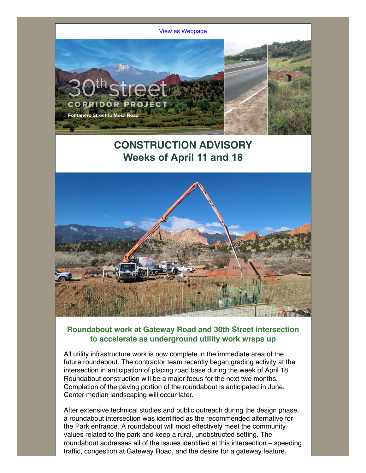

# **CONSTRUCTION ADVISORY Weeks of April 11 and 18**



#### **Roundabout work at Gateway Road and 30th Street intersection to accelerate as underground utility work wraps up**

All utility infrastructure work is now complete in the immediate area of the future roundabout. The contractor team recently began grading activity at the intersection in anticipation of placing road base during the week of April 18. Roundabout construction will be a major focus for the next two months. Completion of the paving portion of the roundabout is anticipated in June. Center median landscaping will occur later.

After extensive technical studies and public outreach during the design phase, a roundabout intersection was identified as the recommended alternative for the Park entrance. A roundabout will most effectively meet the community values related to the park and keep a rural, unobstructed setting. The roundabout addresses all of the issues identified at this intersection – speeding traffic, congestion at Gateway Road, and the desire for a gateway feature.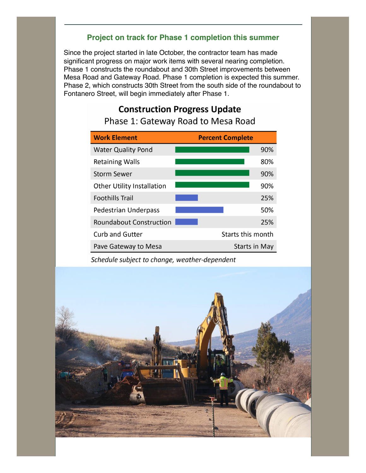### **Project on track for Phase 1 completion this summer**

Since the project started in late October, the contractor team has made significant progress on major work items with several nearing completion. Phase 1 constructs the roundabout and 30th Street improvements between Mesa Road and Gateway Road. Phase 1 completion is expected this summer. Phase 2, which constructs 30th Street from the south side of the roundabout to Fontanero Street, will begin immediately after Phase 1.

# **Construction Progress Update**

| <b>Work Element</b>               | <b>Percent Complete</b> |
|-----------------------------------|-------------------------|
| <b>Water Quality Pond</b>         | 90%                     |
| <b>Retaining Walls</b>            | 80%                     |
| <b>Storm Sewer</b>                | 90%                     |
| <b>Other Utility Installation</b> | 90%                     |
| <b>Foothills Trail</b>            | 25%                     |
| <b>Pedestrian Underpass</b>       | 50%                     |
| <b>Roundabout Construction</b>    | 25%                     |
| <b>Curb and Gutter</b>            | Starts this month       |
| Pave Gateway to Mesa              | Starts in May           |

Phase 1: Gateway Road to Mesa Road

Schedule subject to change, weather-dependent

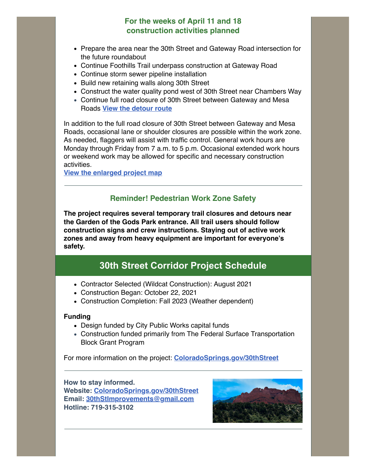### **For the weeks of April 11 and 18 construction activities planned**

- Prepare the area near the 30th Street and Gateway Road intersection for the future roundabout
- Continue Foothills Trail underpass construction at Gateway Road
- Continue storm sewer pipeline installation
- Build new retaining walls along 30th Street
- Construct the water quality pond west of 30th Street near Chambers Way
- Continue full road closure of 30th Street between Gateway and Mesa Roads **[View the detour route](https://files.constantcontact.com/09f7d2da601/1b13aedc-3051-479f-8037-a79443591756.pdf?rdr=true)**

In addition to the full road closure of 30th Street between Gateway and Mesa Roads, occasional lane or shoulder closures are possible within the work zone. As needed, flaggers will assist with traffic control. General work hours are Monday through Friday from 7 a.m. to 5 p.m. Occasional extended work hours or weekend work may be allowed for specific and necessary construction activities.

**[View the enlarged project map](https://files.constantcontact.com/09f7d2da601/a47ca96e-8391-4b0f-acbf-c56f824868d3.pdf?rdr=true)**

#### **Reminder! Pedestrian Work Zone Safety**

**The project requires several temporary trail closures and detours near the Garden of the Gods Park entrance. All trail users should follow construction signs and crew instructions. Staying out of active work zones and away from heavy equipment are important for everyone's safety.**

## **30th Street Corridor Project Schedule**

- Contractor Selected (Wildcat Construction): August 2021
- Construction Began: October 22, 2021
- Construction Completion: Fall 2023 (Weather dependent)

#### **Funding**

- Design funded by City Public Works capital funds
- Construction funded primarily from The Federal Surface Transportation Block Grant Program

For more information on the project: **[ColoradoSprings.gov/30thStreet](https://coloradosprings.gov/project/30th-street-corridor-development)**

#### **How to stay informed. Website: [ColoradoSprings.gov/30thStreet](https://coloradosprings.gov/project/30th-street-corridor-development) Email: [30thStImprovements@gmail.com](mailto:30thStImprovements@gmail.com) Hotline: 719-315-3102**